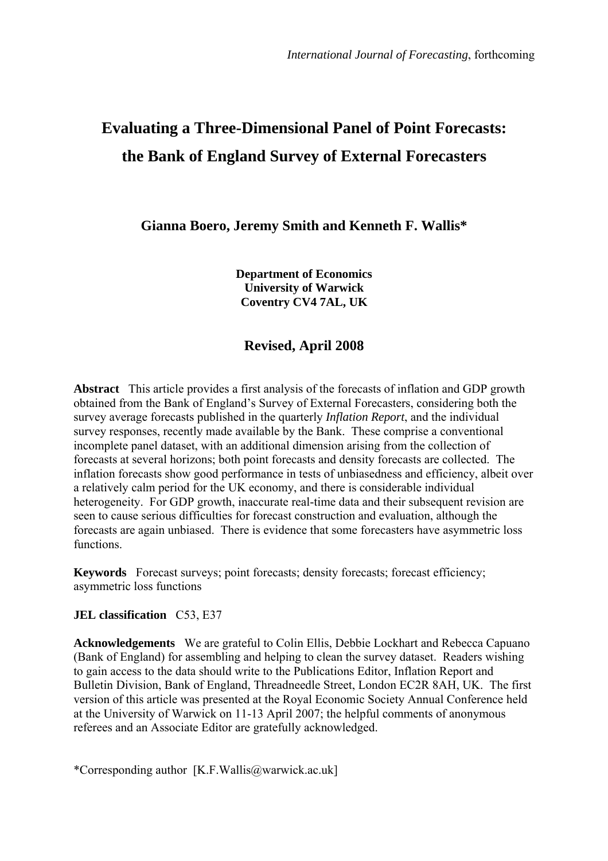# **Evaluating a Three-Dimensional Panel of Point Forecasts: the Bank of England Survey of External Forecasters**

**Gianna Boero, Jeremy Smith and Kenneth F. Wallis\*** 

**Department of Economics University of Warwick Coventry CV4 7AL, UK** 

# **Revised, April 2008**

**Abstract** This article provides a first analysis of the forecasts of inflation and GDP growth obtained from the Bank of England's Survey of External Forecasters, considering both the survey average forecasts published in the quarterly *Inflation Report*, and the individual survey responses, recently made available by the Bank. These comprise a conventional incomplete panel dataset, with an additional dimension arising from the collection of forecasts at several horizons; both point forecasts and density forecasts are collected. The inflation forecasts show good performance in tests of unbiasedness and efficiency, albeit over a relatively calm period for the UK economy, and there is considerable individual heterogeneity. For GDP growth, inaccurate real-time data and their subsequent revision are seen to cause serious difficulties for forecast construction and evaluation, although the forecasts are again unbiased. There is evidence that some forecasters have asymmetric loss functions.

**Keywords** Forecast surveys; point forecasts; density forecasts; forecast efficiency; asymmetric loss functions

### **JEL classification** C53, E37

**Acknowledgements** We are grateful to Colin Ellis, Debbie Lockhart and Rebecca Capuano (Bank of England) for assembling and helping to clean the survey dataset. Readers wishing to gain access to the data should write to the Publications Editor, Inflation Report and Bulletin Division, Bank of England, Threadneedle Street, London EC2R 8AH, UK. The first version of this article was presented at the Royal Economic Society Annual Conference held at the University of Warwick on 11-13 April 2007; the helpful comments of anonymous referees and an Associate Editor are gratefully acknowledged.

\*Corresponding author [K.F.Wallis@warwick.ac.uk]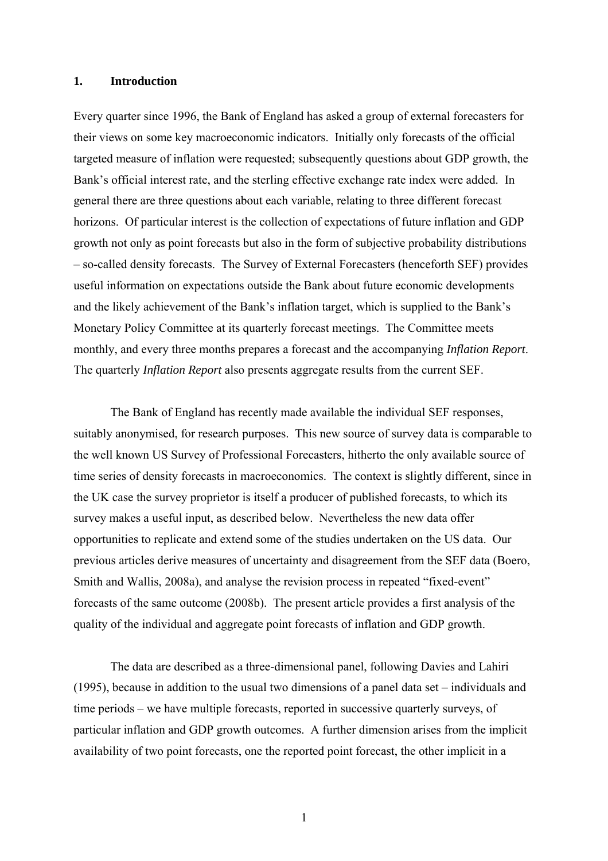### **1. Introduction**

Every quarter since 1996, the Bank of England has asked a group of external forecasters for their views on some key macroeconomic indicators. Initially only forecasts of the official targeted measure of inflation were requested; subsequently questions about GDP growth, the Bank's official interest rate, and the sterling effective exchange rate index were added. In general there are three questions about each variable, relating to three different forecast horizons. Of particular interest is the collection of expectations of future inflation and GDP growth not only as point forecasts but also in the form of subjective probability distributions – so-called density forecasts. The Survey of External Forecasters (henceforth SEF) provides useful information on expectations outside the Bank about future economic developments and the likely achievement of the Bank's inflation target, which is supplied to the Bank's Monetary Policy Committee at its quarterly forecast meetings. The Committee meets monthly, and every three months prepares a forecast and the accompanying *Inflation Report*. The quarterly *Inflation Report* also presents aggregate results from the current SEF.

The Bank of England has recently made available the individual SEF responses, suitably anonymised, for research purposes. This new source of survey data is comparable to the well known US Survey of Professional Forecasters, hitherto the only available source of time series of density forecasts in macroeconomics. The context is slightly different, since in the UK case the survey proprietor is itself a producer of published forecasts, to which its survey makes a useful input, as described below. Nevertheless the new data offer opportunities to replicate and extend some of the studies undertaken on the US data. Our previous articles derive measures of uncertainty and disagreement from the SEF data (Boero, Smith and Wallis, 2008a), and analyse the revision process in repeated "fixed-event" forecasts of the same outcome (2008b). The present article provides a first analysis of the quality of the individual and aggregate point forecasts of inflation and GDP growth.

The data are described as a three-dimensional panel, following Davies and Lahiri (1995), because in addition to the usual two dimensions of a panel data set – individuals and time periods – we have multiple forecasts, reported in successive quarterly surveys, of particular inflation and GDP growth outcomes. A further dimension arises from the implicit availability of two point forecasts, one the reported point forecast, the other implicit in a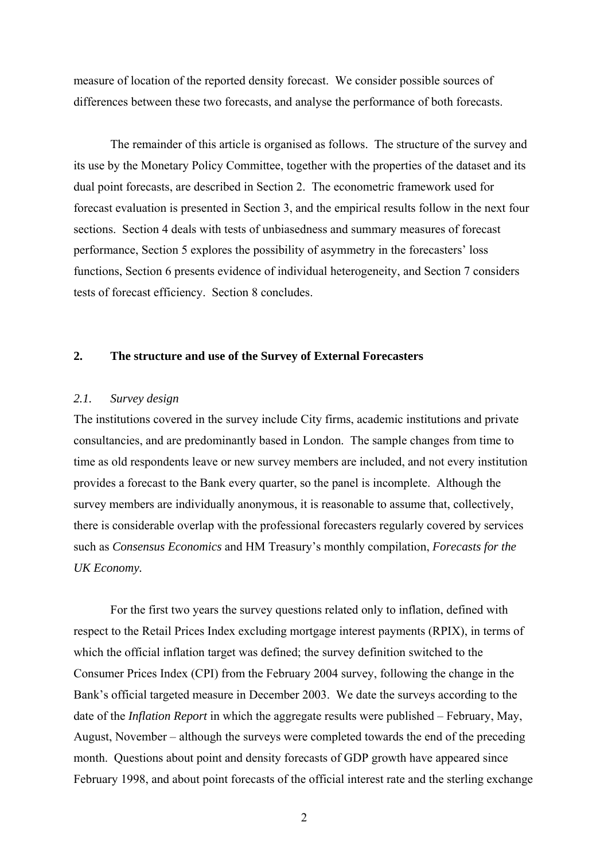measure of location of the reported density forecast. We consider possible sources of differences between these two forecasts, and analyse the performance of both forecasts.

 The remainder of this article is organised as follows. The structure of the survey and its use by the Monetary Policy Committee, together with the properties of the dataset and its dual point forecasts, are described in Section 2. The econometric framework used for forecast evaluation is presented in Section 3, and the empirical results follow in the next four sections. Section 4 deals with tests of unbiasedness and summary measures of forecast performance, Section 5 explores the possibility of asymmetry in the forecasters' loss functions, Section 6 presents evidence of individual heterogeneity, and Section 7 considers tests of forecast efficiency. Section 8 concludes.

### **2. The structure and use of the Survey of External Forecasters**

### *2.1. Survey design*

The institutions covered in the survey include City firms, academic institutions and private consultancies, and are predominantly based in London. The sample changes from time to time as old respondents leave or new survey members are included, and not every institution provides a forecast to the Bank every quarter, so the panel is incomplete. Although the survey members are individually anonymous, it is reasonable to assume that, collectively, there is considerable overlap with the professional forecasters regularly covered by services such as *Consensus Economics* and HM Treasury's monthly compilation, *Forecasts for the UK Economy.*

 For the first two years the survey questions related only to inflation, defined with respect to the Retail Prices Index excluding mortgage interest payments (RPIX), in terms of which the official inflation target was defined; the survey definition switched to the Consumer Prices Index (CPI) from the February 2004 survey, following the change in the Bank's official targeted measure in December 2003. We date the surveys according to the date of the *Inflation Report* in which the aggregate results were published – February, May, August, November – although the surveys were completed towards the end of the preceding month. Questions about point and density forecasts of GDP growth have appeared since February 1998, and about point forecasts of the official interest rate and the sterling exchange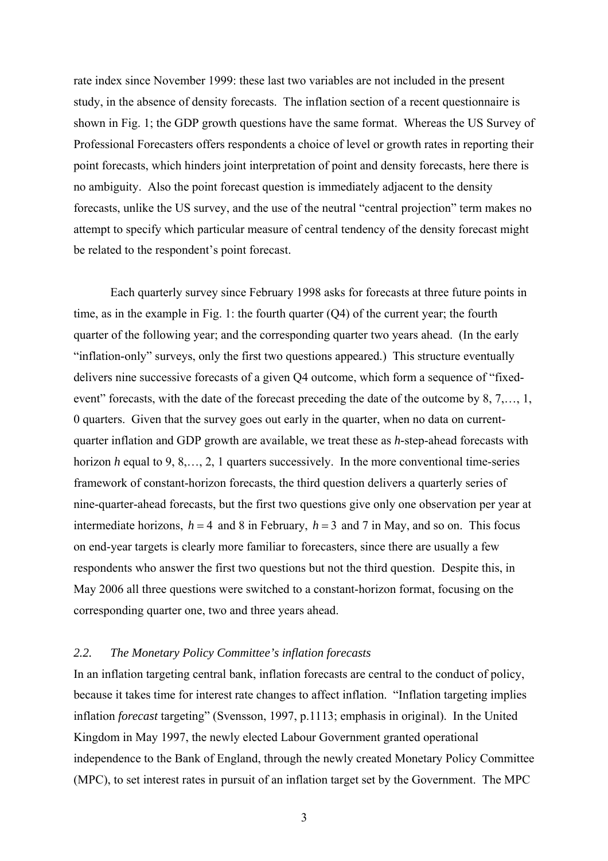rate index since November 1999: these last two variables are not included in the present study, in the absence of density forecasts. The inflation section of a recent questionnaire is shown in Fig. 1; the GDP growth questions have the same format. Whereas the US Survey of Professional Forecasters offers respondents a choice of level or growth rates in reporting their point forecasts, which hinders joint interpretation of point and density forecasts, here there is no ambiguity. Also the point forecast question is immediately adjacent to the density forecasts, unlike the US survey, and the use of the neutral "central projection" term makes no attempt to specify which particular measure of central tendency of the density forecast might be related to the respondent's point forecast.

 Each quarterly survey since February 1998 asks for forecasts at three future points in time, as in the example in Fig. 1: the fourth quarter (Q4) of the current year; the fourth quarter of the following year; and the corresponding quarter two years ahead. (In the early "inflation-only" surveys, only the first two questions appeared.) This structure eventually delivers nine successive forecasts of a given Q4 outcome, which form a sequence of "fixedevent" forecasts, with the date of the forecast preceding the date of the outcome by 8, 7,…, 1, 0 quarters. Given that the survey goes out early in the quarter, when no data on currentquarter inflation and GDP growth are available, we treat these as *h-*step-ahead forecasts with horizon *h* equal to 9, 8,…, 2, 1 quarters successively. In the more conventional time-series framework of constant-horizon forecasts, the third question delivers a quarterly series of nine-quarter-ahead forecasts, but the first two questions give only one observation per year at intermediate horizons,  $h = 4$  and 8 in February,  $h = 3$  and 7 in May, and so on. This focus on end-year targets is clearly more familiar to forecasters, since there are usually a few respondents who answer the first two questions but not the third question. Despite this, in May 2006 all three questions were switched to a constant-horizon format, focusing on the corresponding quarter one, two and three years ahead.

#### *2.2. The Monetary Policy Committee's inflation forecasts*

In an inflation targeting central bank, inflation forecasts are central to the conduct of policy, because it takes time for interest rate changes to affect inflation. "Inflation targeting implies inflation *forecast* targeting" (Svensson, 1997, p.1113; emphasis in original). In the United Kingdom in May 1997, the newly elected Labour Government granted operational independence to the Bank of England, through the newly created Monetary Policy Committee (MPC), to set interest rates in pursuit of an inflation target set by the Government. The MPC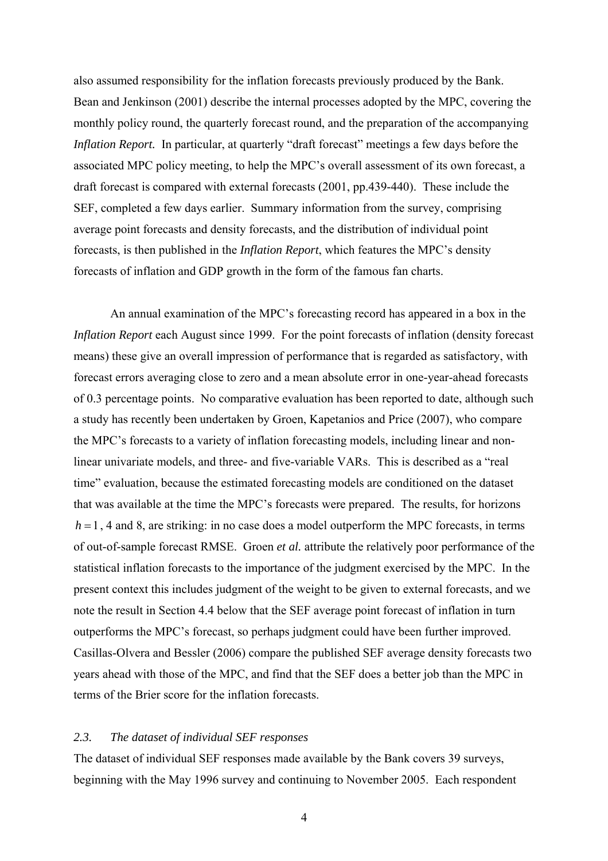also assumed responsibility for the inflation forecasts previously produced by the Bank. Bean and Jenkinson (2001) describe the internal processes adopted by the MPC, covering the monthly policy round, the quarterly forecast round, and the preparation of the accompanying *Inflation Report.* In particular, at quarterly "draft forecast" meetings a few days before the associated MPC policy meeting, to help the MPC's overall assessment of its own forecast, a draft forecast is compared with external forecasts (2001, pp.439-440). These include the SEF, completed a few days earlier. Summary information from the survey, comprising average point forecasts and density forecasts, and the distribution of individual point forecasts, is then published in the *Inflation Report*, which features the MPC's density forecasts of inflation and GDP growth in the form of the famous fan charts.

 An annual examination of the MPC's forecasting record has appeared in a box in the *Inflation Report* each August since 1999. For the point forecasts of inflation (density forecast means) these give an overall impression of performance that is regarded as satisfactory, with forecast errors averaging close to zero and a mean absolute error in one-year-ahead forecasts of 0.3 percentage points. No comparative evaluation has been reported to date, although such a study has recently been undertaken by Groen, Kapetanios and Price (2007), who compare the MPC's forecasts to a variety of inflation forecasting models, including linear and nonlinear univariate models, and three- and five-variable VARs. This is described as a "real time" evaluation, because the estimated forecasting models are conditioned on the dataset that was available at the time the MPC's forecasts were prepared. The results, for horizons  $h = 1$ , 4 and 8, are striking: in no case does a model outperform the MPC forecasts, in terms of out-of-sample forecast RMSE. Groen *et al.* attribute the relatively poor performance of the statistical inflation forecasts to the importance of the judgment exercised by the MPC. In the present context this includes judgment of the weight to be given to external forecasts, and we note the result in Section 4.4 below that the SEF average point forecast of inflation in turn outperforms the MPC's forecast, so perhaps judgment could have been further improved. Casillas-Olvera and Bessler (2006) compare the published SEF average density forecasts two years ahead with those of the MPC, and find that the SEF does a better job than the MPC in terms of the Brier score for the inflation forecasts.

### *2.3. The dataset of individual SEF responses*

The dataset of individual SEF responses made available by the Bank covers 39 surveys, beginning with the May 1996 survey and continuing to November 2005. Each respondent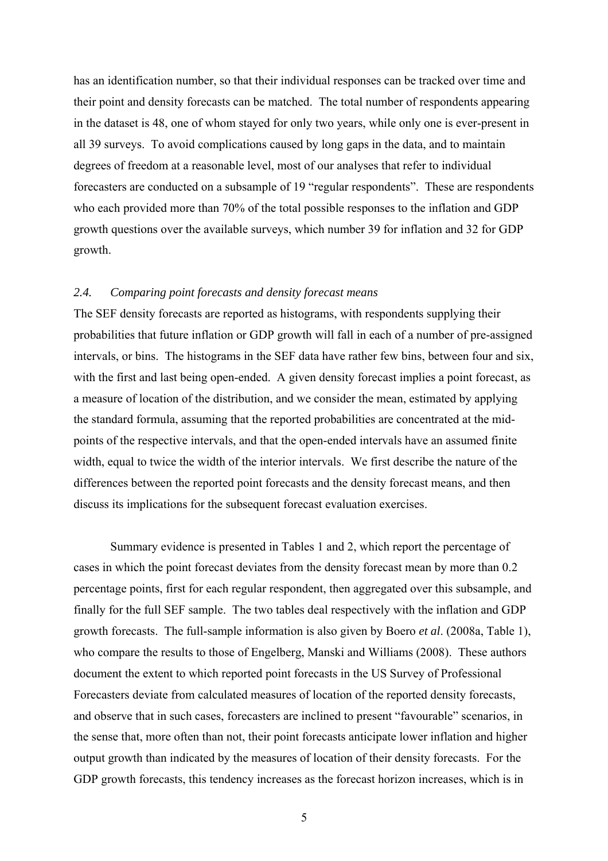has an identification number, so that their individual responses can be tracked over time and their point and density forecasts can be matched. The total number of respondents appearing in the dataset is 48, one of whom stayed for only two years, while only one is ever-present in all 39 surveys. To avoid complications caused by long gaps in the data, and to maintain degrees of freedom at a reasonable level, most of our analyses that refer to individual forecasters are conducted on a subsample of 19 "regular respondents". These are respondents who each provided more than 70% of the total possible responses to the inflation and GDP growth questions over the available surveys, which number 39 for inflation and 32 for GDP growth.

#### *2.4. Comparing point forecasts and density forecast means*

The SEF density forecasts are reported as histograms, with respondents supplying their probabilities that future inflation or GDP growth will fall in each of a number of pre-assigned intervals, or bins. The histograms in the SEF data have rather few bins, between four and six, with the first and last being open-ended. A given density forecast implies a point forecast, as a measure of location of the distribution, and we consider the mean, estimated by applying the standard formula, assuming that the reported probabilities are concentrated at the midpoints of the respective intervals, and that the open-ended intervals have an assumed finite width, equal to twice the width of the interior intervals. We first describe the nature of the differences between the reported point forecasts and the density forecast means, and then discuss its implications for the subsequent forecast evaluation exercises.

 Summary evidence is presented in Tables 1 and 2, which report the percentage of cases in which the point forecast deviates from the density forecast mean by more than 0.2 percentage points, first for each regular respondent, then aggregated over this subsample, and finally for the full SEF sample. The two tables deal respectively with the inflation and GDP growth forecasts. The full-sample information is also given by Boero *et al*. (2008a, Table 1), who compare the results to those of Engelberg, Manski and Williams (2008). These authors document the extent to which reported point forecasts in the US Survey of Professional Forecasters deviate from calculated measures of location of the reported density forecasts, and observe that in such cases, forecasters are inclined to present "favourable" scenarios, in the sense that, more often than not, their point forecasts anticipate lower inflation and higher output growth than indicated by the measures of location of their density forecasts. For the GDP growth forecasts, this tendency increases as the forecast horizon increases, which is in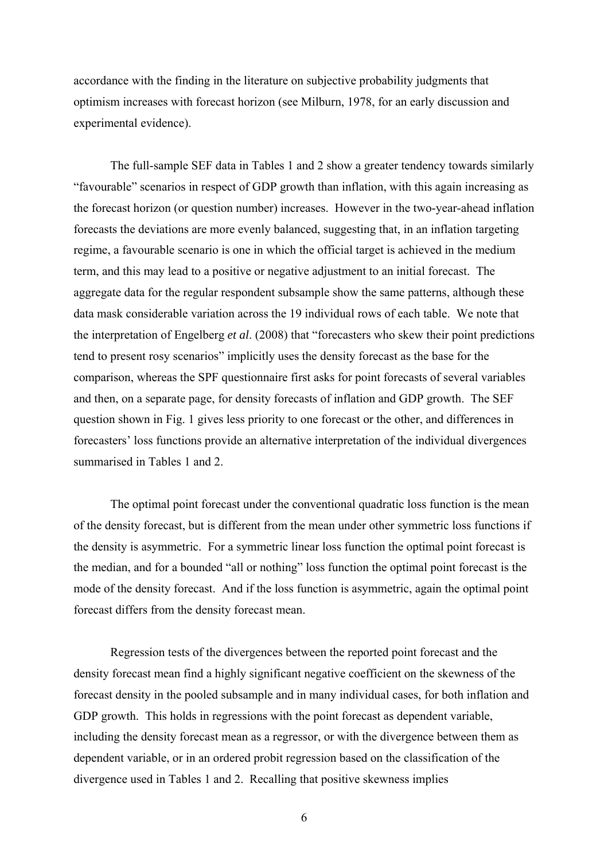accordance with the finding in the literature on subjective probability judgments that optimism increases with forecast horizon (see Milburn, 1978, for an early discussion and experimental evidence).

The full-sample SEF data in Tables 1 and 2 show a greater tendency towards similarly "favourable" scenarios in respect of GDP growth than inflation, with this again increasing as the forecast horizon (or question number) increases. However in the two-year-ahead inflation forecasts the deviations are more evenly balanced, suggesting that, in an inflation targeting regime, a favourable scenario is one in which the official target is achieved in the medium term, and this may lead to a positive or negative adjustment to an initial forecast. The aggregate data for the regular respondent subsample show the same patterns, although these data mask considerable variation across the 19 individual rows of each table. We note that the interpretation of Engelberg *et al*. (2008) that "forecasters who skew their point predictions tend to present rosy scenarios" implicitly uses the density forecast as the base for the comparison, whereas the SPF questionnaire first asks for point forecasts of several variables and then, on a separate page, for density forecasts of inflation and GDP growth. The SEF question shown in Fig. 1 gives less priority to one forecast or the other, and differences in forecasters' loss functions provide an alternative interpretation of the individual divergences summarised in Tables 1 and 2.

 The optimal point forecast under the conventional quadratic loss function is the mean of the density forecast, but is different from the mean under other symmetric loss functions if the density is asymmetric. For a symmetric linear loss function the optimal point forecast is the median, and for a bounded "all or nothing" loss function the optimal point forecast is the mode of the density forecast. And if the loss function is asymmetric, again the optimal point forecast differs from the density forecast mean.

Regression tests of the divergences between the reported point forecast and the density forecast mean find a highly significant negative coefficient on the skewness of the forecast density in the pooled subsample and in many individual cases, for both inflation and GDP growth. This holds in regressions with the point forecast as dependent variable, including the density forecast mean as a regressor, or with the divergence between them as dependent variable, or in an ordered probit regression based on the classification of the divergence used in Tables 1 and 2. Recalling that positive skewness implies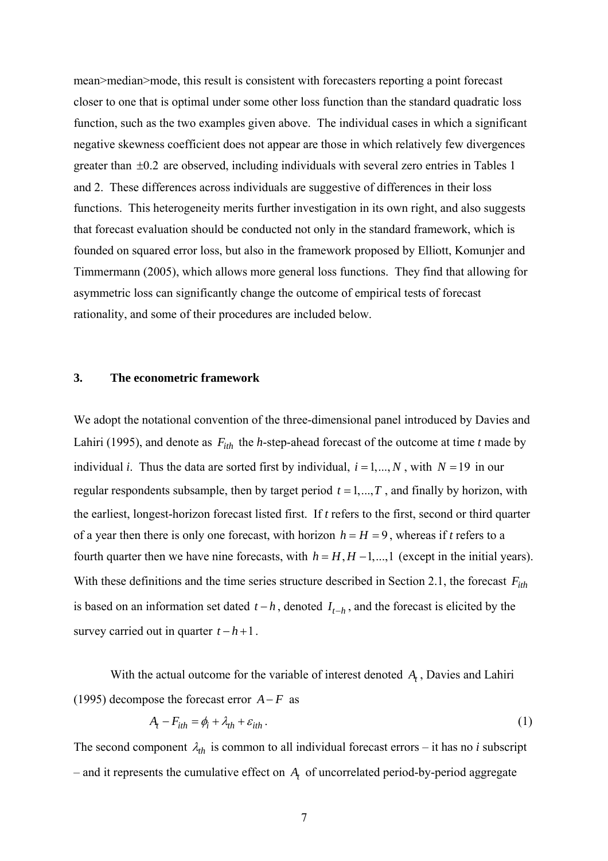mean>median>mode, this result is consistent with forecasters reporting a point forecast closer to one that is optimal under some other loss function than the standard quadratic loss function, such as the two examples given above. The individual cases in which a significant negative skewness coefficient does not appear are those in which relatively few divergences greater than ±0.2 are observed, including individuals with several zero entries in Tables 1 and 2. These differences across individuals are suggestive of differences in their loss functions. This heterogeneity merits further investigation in its own right, and also suggests that forecast evaluation should be conducted not only in the standard framework, which is founded on squared error loss, but also in the framework proposed by Elliott, Komunjer and Timmermann (2005), which allows more general loss functions. They find that allowing for asymmetric loss can significantly change the outcome of empirical tests of forecast rationality, and some of their procedures are included below.

### **3. The econometric framework**

We adopt the notational convention of the three-dimensional panel introduced by Davies and Lahiri (1995), and denote as  $F_{ith}$  the *h*-step-ahead forecast of the outcome at time *t* made by individual *i*. Thus the data are sorted first by individual,  $i = 1,..., N$ , with  $N = 19$  in our regular respondents subsample, then by target period  $t = 1, \ldots, T$ , and finally by horizon, with the earliest, longest-horizon forecast listed first. If *t* refers to the first, second or third quarter of a year then there is only one forecast, with horizon  $h = H = 9$ , whereas if *t* refers to a fourth quarter then we have nine forecasts, with  $h = H, H - 1, \dots, 1$  (except in the initial years). With these definitions and the time series structure described in Section 2.1, the forecast  $F_{ith}$ is based on an information set dated  $t - h$ , denoted  $I_{t-h}$ , and the forecast is elicited by the survey carried out in quarter  $t - h + 1$ .

With the actual outcome for the variable of interest denoted  $A_t$ , Davies and Lahiri (1995) decompose the forecast error  $A-F$  as

$$
A_t - F_{ith} = \phi_i + \lambda_{th} + \varepsilon_{ith} \,. \tag{1}
$$

The second component  $\lambda_{th}$  is common to all individual forecast errors – it has no *i* subscript  $-$  and it represents the cumulative effect on  $A_t$  of uncorrelated period-by-period aggregate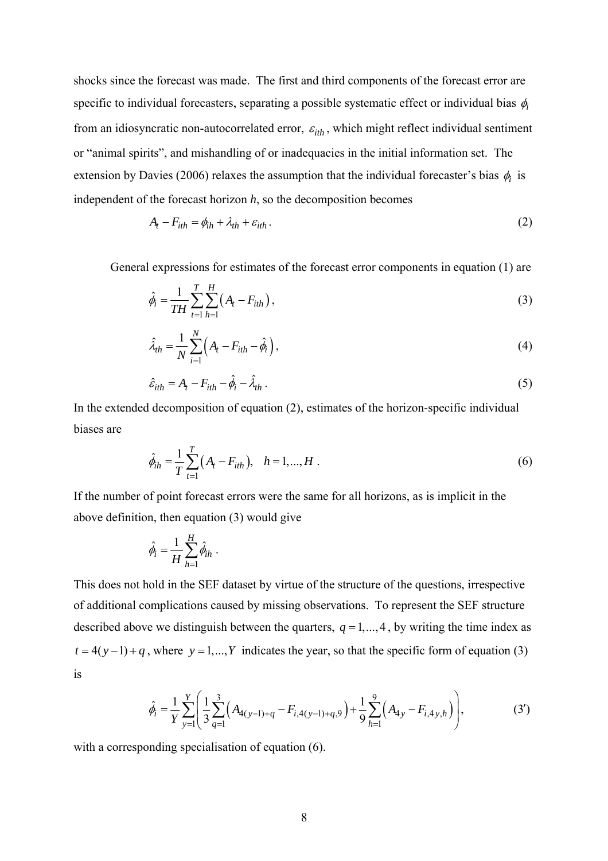shocks since the forecast was made. The first and third components of the forecast error are specific to individual forecasters, separating a possible systematic effect or individual bias φ*<sup>i</sup>* from an idiosyncratic non-autocorrelated error,  $\varepsilon_{ith}$ , which might reflect individual sentiment or "animal spirits", and mishandling of or inadequacies in the initial information set. The extension by Davies (2006) relaxes the assumption that the individual forecaster's bias φ*i* is independent of the forecast horizon *h*, so the decomposition becomes

$$
A_t - F_{ith} = \phi_{ih} + \lambda_{th} + \varepsilon_{ith} \,. \tag{2}
$$

General expressions for estimates of the forecast error components in equation (1) are

$$
\hat{\phi}_i = \frac{1}{TH} \sum_{t=1}^{T} \sum_{h=1}^{H} \left( A_t - F_{ith} \right),\tag{3}
$$

$$
\hat{\lambda}_{th} = \frac{1}{N} \sum_{i=1}^{N} \left( A_t - F_{ith} - \hat{\phi}_i \right),\tag{4}
$$

$$
\hat{\varepsilon}_{ith} = A_t - F_{ith} - \hat{\phi}_i - \hat{\lambda}_{th} \,. \tag{5}
$$

In the extended decomposition of equation (2), estimates of the horizon-specific individual biases are

$$
\hat{\phi}_{ih} = \frac{1}{T} \sum_{t=1}^{T} (A_t - F_{ith}), \quad h = 1, ..., H
$$
 (6)

If the number of point forecast errors were the same for all horizons, as is implicit in the above definition, then equation (3) would give

$$
\hat{\phi}_i = \frac{1}{H} \sum_{h=1}^H \hat{\phi}_{ih} .
$$

This does not hold in the SEF dataset by virtue of the structure of the questions, irrespective of additional complications caused by missing observations. To represent the SEF structure described above we distinguish between the quarters,  $q = 1, \ldots, 4$ , by writing the time index as  $t = 4(y-1) + q$ , where  $y = 1,..., Y$  indicates the year, so that the specific form of equation (3) is

$$
\hat{\phi}_i = \frac{1}{Y} \sum_{y=1}^Y \left( \frac{1}{3} \sum_{q=1}^3 \left( A_{4(y-1)+q} - F_{i,4(y-1)+q,9} \right) + \frac{1}{9} \sum_{h=1}^9 \left( A_{4y} - F_{i,4y,h} \right) \right),\tag{3'}
$$

with a corresponding specialisation of equation (6).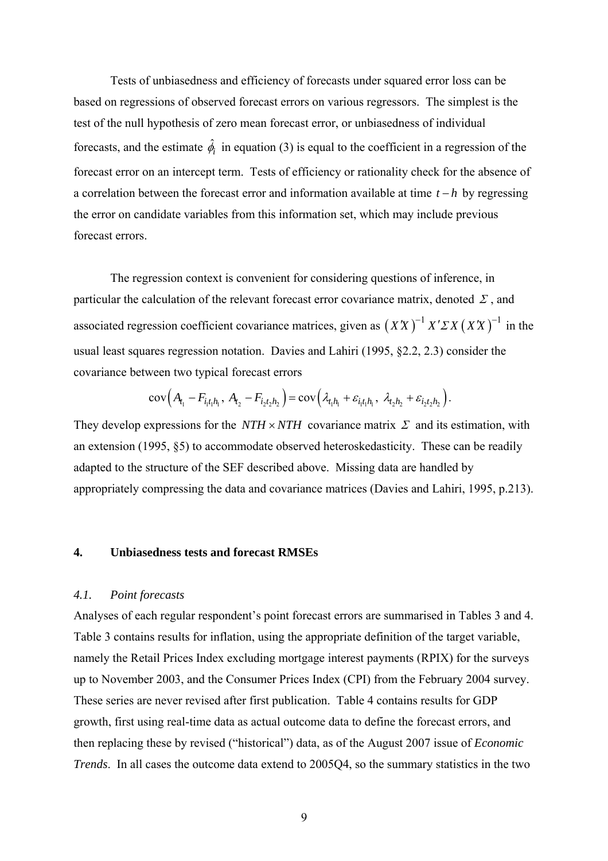Tests of unbiasedness and efficiency of forecasts under squared error loss can be based on regressions of observed forecast errors on various regressors. The simplest is the test of the null hypothesis of zero mean forecast error, or unbiasedness of individual forecasts, and the estimate  $\hat{\phi}_i$  in equation (3) is equal to the coefficient in a regression of the forecast error on an intercept term. Tests of efficiency or rationality check for the absence of a correlation between the forecast error and information available at time *t* − *h* by regressing the error on candidate variables from this information set, which may include previous forecast errors.

The regression context is convenient for considering questions of inference, in particular the calculation of the relevant forecast error covariance matrix, denoted  $\Sigma$ , and associated regression coefficient covariance matrices, given as  $(XX)^{-1} X' \Sigma X (XX)^{-1}$  in the usual least squares regression notation. Davies and Lahiri (1995, §2.2, 2.3) consider the covariance between two typical forecast errors

$$
cov(A_{t_1} - F_{i_1t_1h_1}, A_{t_2} - F_{i_2t_2h_2}) = cov(\lambda_{t_1h_1} + \varepsilon_{i_1t_1h_1}, \lambda_{t_2h_2} + \varepsilon_{i_2t_2h_2}).
$$

They develop expressions for the *NTH*  $\times$  *NTH* covariance matrix  $\Sigma$  and its estimation, with an extension (1995, §5) to accommodate observed heteroskedasticity. These can be readily adapted to the structure of the SEF described above. Missing data are handled by appropriately compressing the data and covariance matrices (Davies and Lahiri, 1995, p.213).

#### **4. Unbiasedness tests and forecast RMSEs**

#### *4.1. Point forecasts*

Analyses of each regular respondent's point forecast errors are summarised in Tables 3 and 4. Table 3 contains results for inflation, using the appropriate definition of the target variable, namely the Retail Prices Index excluding mortgage interest payments (RPIX) for the surveys up to November 2003, and the Consumer Prices Index (CPI) from the February 2004 survey. These series are never revised after first publication. Table 4 contains results for GDP growth, first using real-time data as actual outcome data to define the forecast errors, and then replacing these by revised ("historical") data, as of the August 2007 issue of *Economic Trends*. In all cases the outcome data extend to 2005Q4, so the summary statistics in the two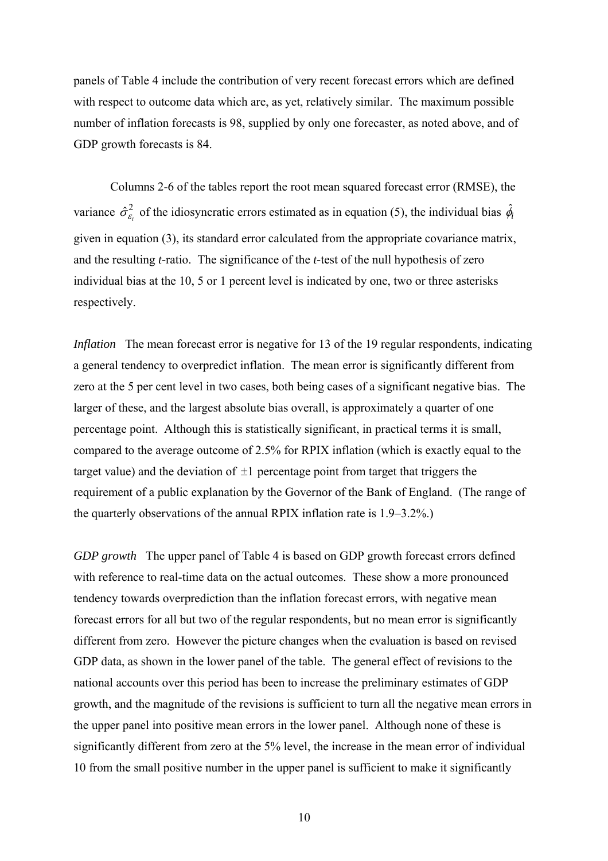panels of Table 4 include the contribution of very recent forecast errors which are defined with respect to outcome data which are, as yet, relatively similar. The maximum possible number of inflation forecasts is 98, supplied by only one forecaster, as noted above, and of GDP growth forecasts is 84.

Columns 2-6 of the tables report the root mean squared forecast error (RMSE), the variance  $\hat{\sigma}_{\varepsilon_i}^2$  of the idiosyncratic errors estimated as in equation (5), the individual bias  $\hat{\phi}_i$ given in equation (3), its standard error calculated from the appropriate covariance matrix, and the resulting *t*-ratio. The significance of the *t*-test of the null hypothesis of zero individual bias at the 10, 5 or 1 percent level is indicated by one, two or three asterisks respectively.

*Inflation* The mean forecast error is negative for 13 of the 19 regular respondents, indicating a general tendency to overpredict inflation. The mean error is significantly different from zero at the 5 per cent level in two cases, both being cases of a significant negative bias. The larger of these, and the largest absolute bias overall, is approximately a quarter of one percentage point. Although this is statistically significant, in practical terms it is small, compared to the average outcome of 2.5% for RPIX inflation (which is exactly equal to the target value) and the deviation of  $\pm 1$  percentage point from target that triggers the requirement of a public explanation by the Governor of the Bank of England. (The range of the quarterly observations of the annual RPIX inflation rate is 1.9–3.2%.)

*GDP growth* The upper panel of Table 4 is based on GDP growth forecast errors defined with reference to real-time data on the actual outcomes. These show a more pronounced tendency towards overprediction than the inflation forecast errors, with negative mean forecast errors for all but two of the regular respondents, but no mean error is significantly different from zero. However the picture changes when the evaluation is based on revised GDP data, as shown in the lower panel of the table. The general effect of revisions to the national accounts over this period has been to increase the preliminary estimates of GDP growth, and the magnitude of the revisions is sufficient to turn all the negative mean errors in the upper panel into positive mean errors in the lower panel. Although none of these is significantly different from zero at the 5% level, the increase in the mean error of individual 10 from the small positive number in the upper panel is sufficient to make it significantly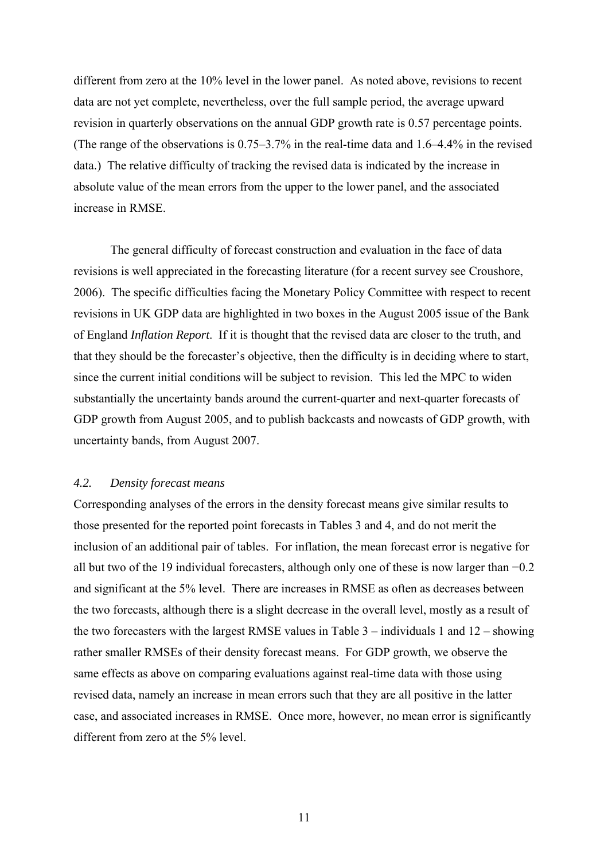different from zero at the 10% level in the lower panel. As noted above, revisions to recent data are not yet complete, nevertheless, over the full sample period, the average upward revision in quarterly observations on the annual GDP growth rate is 0.57 percentage points. (The range of the observations is 0.75–3.7% in the real-time data and 1.6–4.4% in the revised data.) The relative difficulty of tracking the revised data is indicated by the increase in absolute value of the mean errors from the upper to the lower panel, and the associated increase in RMSE.

 The general difficulty of forecast construction and evaluation in the face of data revisions is well appreciated in the forecasting literature (for a recent survey see Croushore, 2006). The specific difficulties facing the Monetary Policy Committee with respect to recent revisions in UK GDP data are highlighted in two boxes in the August 2005 issue of the Bank of England *Inflation Report*. If it is thought that the revised data are closer to the truth, and that they should be the forecaster's objective, then the difficulty is in deciding where to start, since the current initial conditions will be subject to revision. This led the MPC to widen substantially the uncertainty bands around the current-quarter and next-quarter forecasts of GDP growth from August 2005, and to publish backcasts and nowcasts of GDP growth, with uncertainty bands, from August 2007.

#### *4.2. Density forecast means*

Corresponding analyses of the errors in the density forecast means give similar results to those presented for the reported point forecasts in Tables 3 and 4, and do not merit the inclusion of an additional pair of tables. For inflation, the mean forecast error is negative for all but two of the 19 individual forecasters, although only one of these is now larger than −0.2 and significant at the 5% level. There are increases in RMSE as often as decreases between the two forecasts, although there is a slight decrease in the overall level, mostly as a result of the two forecasters with the largest RMSE values in Table 3 – individuals 1 and 12 – showing rather smaller RMSEs of their density forecast means. For GDP growth, we observe the same effects as above on comparing evaluations against real-time data with those using revised data, namely an increase in mean errors such that they are all positive in the latter case, and associated increases in RMSE. Once more, however, no mean error is significantly different from zero at the 5% level.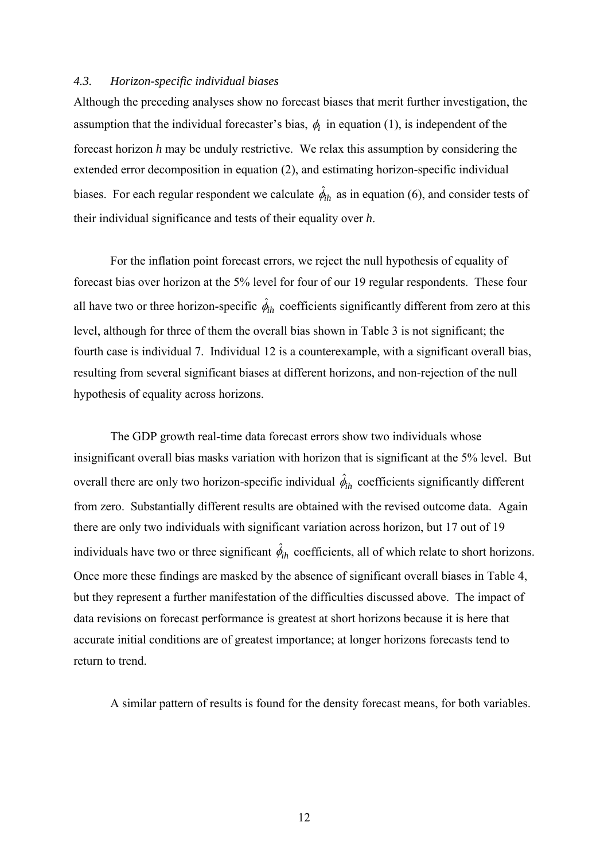#### *4.3. Horizon-specific individual biases*

Although the preceding analyses show no forecast biases that merit further investigation, the assumption that the individual forecaster's bias,  $\phi_i$  in equation (1), is independent of the forecast horizon *h* may be unduly restrictive. We relax this assumption by considering the extended error decomposition in equation (2), and estimating horizon-specific individual biases. For each regular respondent we calculate  $\hat{\phi}_{ih}$  as in equation (6), and consider tests of their individual significance and tests of their equality over *h*.

For the inflation point forecast errors, we reject the null hypothesis of equality of forecast bias over horizon at the 5% level for four of our 19 regular respondents. These four all have two or three horizon-specific  $\hat{\phi}_{ih}$  coefficients significantly different from zero at this level, although for three of them the overall bias shown in Table 3 is not significant; the fourth case is individual 7. Individual 12 is a counterexample, with a significant overall bias, resulting from several significant biases at different horizons, and non-rejection of the null hypothesis of equality across horizons.

 The GDP growth real-time data forecast errors show two individuals whose insignificant overall bias masks variation with horizon that is significant at the 5% level. But overall there are only two horizon-specific individual  $\hat{\phi}_{ih}$  coefficients significantly different from zero. Substantially different results are obtained with the revised outcome data. Again there are only two individuals with significant variation across horizon, but 17 out of 19 individuals have two or three significant  $\hat{\phi}_{ih}$  coefficients, all of which relate to short horizons. Once more these findings are masked by the absence of significant overall biases in Table 4, but they represent a further manifestation of the difficulties discussed above. The impact of data revisions on forecast performance is greatest at short horizons because it is here that accurate initial conditions are of greatest importance; at longer horizons forecasts tend to return to trend.

A similar pattern of results is found for the density forecast means, for both variables.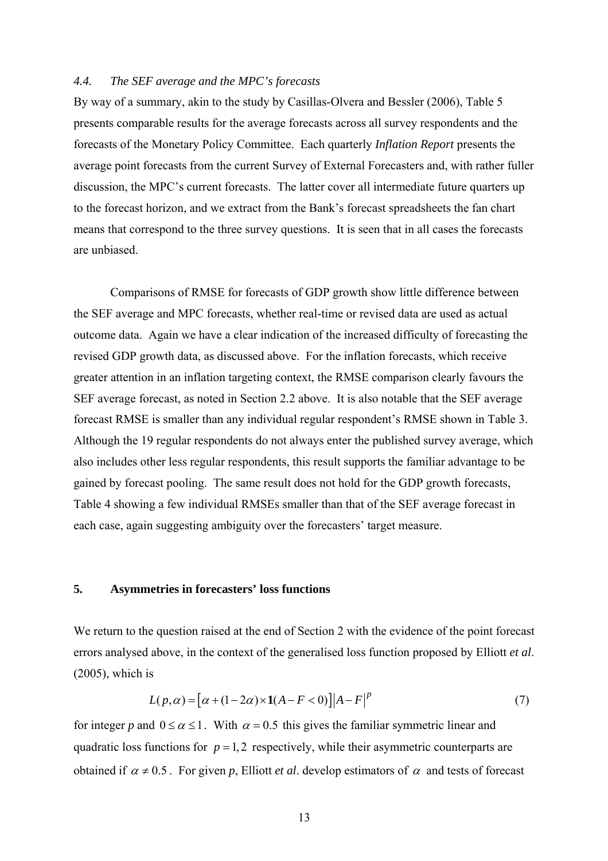#### *4.4. The SEF average and the MPC's forecasts*

By way of a summary, akin to the study by Casillas-Olvera and Bessler (2006), Table 5 presents comparable results for the average forecasts across all survey respondents and the forecasts of the Monetary Policy Committee. Each quarterly *Inflation Report* presents the average point forecasts from the current Survey of External Forecasters and, with rather fuller discussion, the MPC's current forecasts. The latter cover all intermediate future quarters up to the forecast horizon, and we extract from the Bank's forecast spreadsheets the fan chart means that correspond to the three survey questions. It is seen that in all cases the forecasts are unbiased.

Comparisons of RMSE for forecasts of GDP growth show little difference between the SEF average and MPC forecasts, whether real-time or revised data are used as actual outcome data. Again we have a clear indication of the increased difficulty of forecasting the revised GDP growth data, as discussed above. For the inflation forecasts, which receive greater attention in an inflation targeting context, the RMSE comparison clearly favours the SEF average forecast, as noted in Section 2.2 above. It is also notable that the SEF average forecast RMSE is smaller than any individual regular respondent's RMSE shown in Table 3. Although the 19 regular respondents do not always enter the published survey average, which also includes other less regular respondents, this result supports the familiar advantage to be gained by forecast pooling. The same result does not hold for the GDP growth forecasts, Table 4 showing a few individual RMSEs smaller than that of the SEF average forecast in each case, again suggesting ambiguity over the forecasters' target measure.

#### **5. Asymmetries in forecasters' loss functions**

We return to the question raised at the end of Section 2 with the evidence of the point forecast errors analysed above, in the context of the generalised loss function proposed by Elliott *et al*. (2005), which is

$$
L(p, \alpha) = [\alpha + (1 - 2\alpha) \times 1(A - F < 0)] |A - F|^p \tag{7}
$$

for integer *p* and  $0 \le \alpha \le 1$ . With  $\alpha = 0.5$  this gives the familiar symmetric linear and quadratic loss functions for  $p = 1, 2$  respectively, while their asymmetric counterparts are obtained if  $\alpha \neq 0.5$ . For given *p*, Elliott *et al*, develop estimators of  $\alpha$  and tests of forecast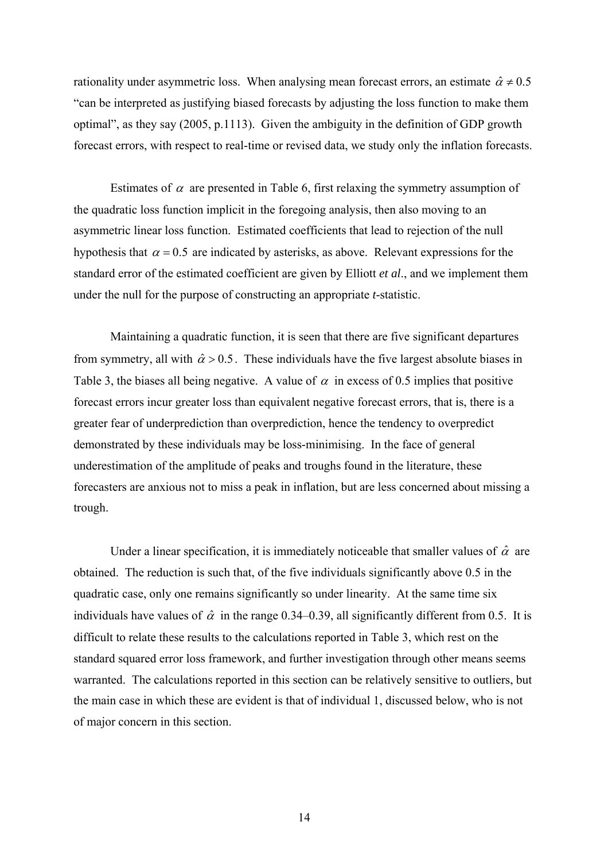rationality under asymmetric loss. When analysing mean forecast errors, an estimate  $\hat{\alpha} \neq 0.5$ "can be interpreted as justifying biased forecasts by adjusting the loss function to make them optimal", as they say (2005, p.1113). Given the ambiguity in the definition of GDP growth forecast errors, with respect to real-time or revised data, we study only the inflation forecasts.

Estimates of  $\alpha$  are presented in Table 6, first relaxing the symmetry assumption of the quadratic loss function implicit in the foregoing analysis, then also moving to an asymmetric linear loss function. Estimated coefficients that lead to rejection of the null hypothesis that  $\alpha = 0.5$  are indicated by asterisks, as above. Relevant expressions for the standard error of the estimated coefficient are given by Elliott *et al*., and we implement them under the null for the purpose of constructing an appropriate *t*-statistic.

 Maintaining a quadratic function, it is seen that there are five significant departures from symmetry, all with  $\hat{\alpha} > 0.5$ . These individuals have the five largest absolute biases in Table 3, the biases all being negative. A value of  $\alpha$  in excess of 0.5 implies that positive forecast errors incur greater loss than equivalent negative forecast errors, that is, there is a greater fear of underprediction than overprediction, hence the tendency to overpredict demonstrated by these individuals may be loss-minimising. In the face of general underestimation of the amplitude of peaks and troughs found in the literature, these forecasters are anxious not to miss a peak in inflation, but are less concerned about missing a trough.

Under a linear specification, it is immediately noticeable that smaller values of  $\hat{\alpha}$  are obtained. The reduction is such that, of the five individuals significantly above 0.5 in the quadratic case, only one remains significantly so under linearity. At the same time six individuals have values of  $\hat{\alpha}$  in the range 0.34–0.39, all significantly different from 0.5. It is difficult to relate these results to the calculations reported in Table 3, which rest on the standard squared error loss framework, and further investigation through other means seems warranted. The calculations reported in this section can be relatively sensitive to outliers, but the main case in which these are evident is that of individual 1, discussed below, who is not of major concern in this section.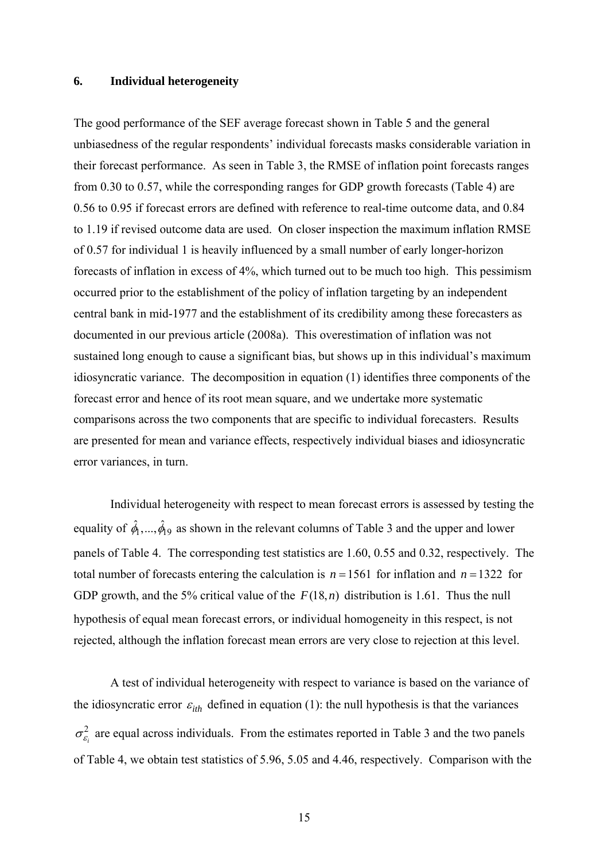#### **6. Individual heterogeneity**

The good performance of the SEF average forecast shown in Table 5 and the general unbiasedness of the regular respondents' individual forecasts masks considerable variation in their forecast performance. As seen in Table 3, the RMSE of inflation point forecasts ranges from 0.30 to 0.57, while the corresponding ranges for GDP growth forecasts (Table 4) are 0.56 to 0.95 if forecast errors are defined with reference to real-time outcome data, and 0.84 to 1.19 if revised outcome data are used. On closer inspection the maximum inflation RMSE of 0.57 for individual 1 is heavily influenced by a small number of early longer-horizon forecasts of inflation in excess of 4%, which turned out to be much too high. This pessimism occurred prior to the establishment of the policy of inflation targeting by an independent central bank in mid-1977 and the establishment of its credibility among these forecasters as documented in our previous article (2008a). This overestimation of inflation was not sustained long enough to cause a significant bias, but shows up in this individual's maximum idiosyncratic variance. The decomposition in equation (1) identifies three components of the forecast error and hence of its root mean square, and we undertake more systematic comparisons across the two components that are specific to individual forecasters. Results are presented for mean and variance effects, respectively individual biases and idiosyncratic error variances, in turn.

 Individual heterogeneity with respect to mean forecast errors is assessed by testing the equality of  $\hat{\phi}_1, ..., \hat{\phi}_1$  as shown in the relevant columns of Table 3 and the upper and lower panels of Table 4. The corresponding test statistics are 1.60, 0.55 and 0.32, respectively. The total number of forecasts entering the calculation is  $n = 1561$  for inflation and  $n = 1322$  for GDP growth, and the 5% critical value of the  $F(18, n)$  distribution is 1.61. Thus the null hypothesis of equal mean forecast errors, or individual homogeneity in this respect, is not rejected, although the inflation forecast mean errors are very close to rejection at this level.

A test of individual heterogeneity with respect to variance is based on the variance of the idiosyncratic error  $\varepsilon_{ith}$  defined in equation (1): the null hypothesis is that the variances  $\sigma_{\varepsilon_i}^2$  are equal across individuals. From the estimates reported in Table 3 and the two panels of Table 4, we obtain test statistics of 5.96, 5.05 and 4.46, respectively. Comparison with the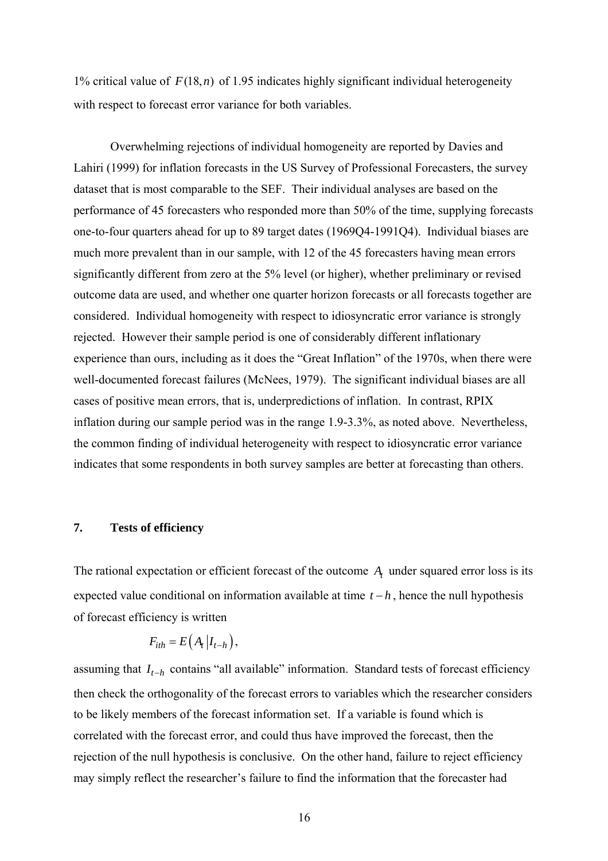1% critical value of  $F(18, n)$  of 1.95 indicates highly significant individual heterogeneity with respect to forecast error variance for both variables.

Overwhelming rejections of individual homogeneity are reported by Davies and Lahiri (1999) for inflation forecasts in the US Survey of Professional Forecasters, the survey dataset that is most comparable to the SEF. Their individual analyses are based on the performance of 45 forecasters who responded more than 50% of the time, supplying forecasts one-to-four quarters ahead for up to 89 target dates (1969Q4-1991Q4). Individual biases are much more prevalent than in our sample, with 12 of the 45 forecasters having mean errors significantly different from zero at the 5% level (or higher), whether preliminary or revised outcome data are used, and whether one quarter horizon forecasts or all forecasts together are considered. Individual homogeneity with respect to idiosyncratic error variance is strongly rejected. However their sample period is one of considerably different inflationary experience than ours, including as it does the "Great Inflation" of the 1970s, when there were well-documented forecast failures (McNees, 1979). The significant individual biases are all cases of positive mean errors, that is, underpredictions of inflation. In contrast, RPIX inflation during our sample period was in the range 1.9-3.3%, as noted above. Nevertheless, the common finding of individual heterogeneity with respect to idiosyncratic error variance indicates that some respondents in both survey samples are better at forecasting than others.

### **7. Tests of efficiency**

The rational expectation or efficient forecast of the outcome A<sub>t</sub> under squared error loss is its expected value conditional on information available at time  $t - h$ , hence the null hypothesis of forecast efficiency is written

$$
F_{ith} = E\left(A_t | I_{t-h}\right),\,
$$

assuming that  $I_{t-h}$  contains "all available" information. Standard tests of forecast efficiency then check the orthogonality of the forecast errors to variables which the researcher considers to be likely members of the forecast information set. If a variable is found which is correlated with the forecast error, and could thus have improved the forecast, then the rejection of the null hypothesis is conclusive. On the other hand, failure to reject efficiency may simply reflect the researcher's failure to find the information that the forecaster had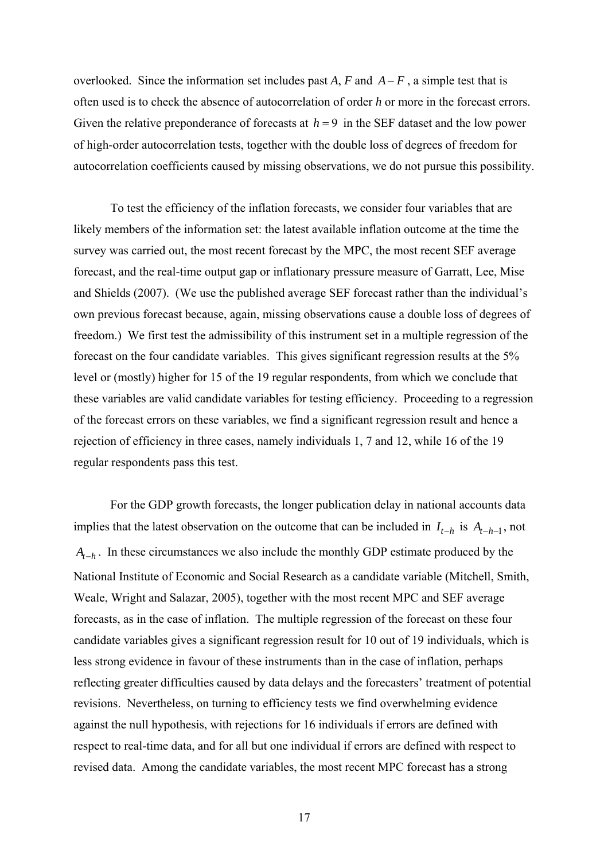overlooked. Since the information set includes past *A*, *F* and  $A-F$ , a simple test that is often used is to check the absence of autocorrelation of order *h* or more in the forecast errors. Given the relative preponderance of forecasts at  $h = 9$  in the SEF dataset and the low power of high-order autocorrelation tests, together with the double loss of degrees of freedom for autocorrelation coefficients caused by missing observations, we do not pursue this possibility.

 To test the efficiency of the inflation forecasts, we consider four variables that are likely members of the information set: the latest available inflation outcome at the time the survey was carried out, the most recent forecast by the MPC, the most recent SEF average forecast, and the real-time output gap or inflationary pressure measure of Garratt, Lee, Mise and Shields (2007). (We use the published average SEF forecast rather than the individual's own previous forecast because, again, missing observations cause a double loss of degrees of freedom.) We first test the admissibility of this instrument set in a multiple regression of the forecast on the four candidate variables. This gives significant regression results at the 5% level or (mostly) higher for 15 of the 19 regular respondents, from which we conclude that these variables are valid candidate variables for testing efficiency. Proceeding to a regression of the forecast errors on these variables, we find a significant regression result and hence a rejection of efficiency in three cases, namely individuals 1, 7 and 12, while 16 of the 19 regular respondents pass this test.

 For the GDP growth forecasts, the longer publication delay in national accounts data implies that the latest observation on the outcome that can be included in  $I_{t-h}$  is  $A_{t-h-1}$ , not *A<sub>t−h</sub>*. In these circumstances we also include the monthly GDP estimate produced by the National Institute of Economic and Social Research as a candidate variable (Mitchell, Smith, Weale, Wright and Salazar, 2005), together with the most recent MPC and SEF average forecasts, as in the case of inflation. The multiple regression of the forecast on these four candidate variables gives a significant regression result for 10 out of 19 individuals, which is less strong evidence in favour of these instruments than in the case of inflation, perhaps reflecting greater difficulties caused by data delays and the forecasters' treatment of potential revisions. Nevertheless, on turning to efficiency tests we find overwhelming evidence against the null hypothesis, with rejections for 16 individuals if errors are defined with respect to real-time data, and for all but one individual if errors are defined with respect to revised data. Among the candidate variables, the most recent MPC forecast has a strong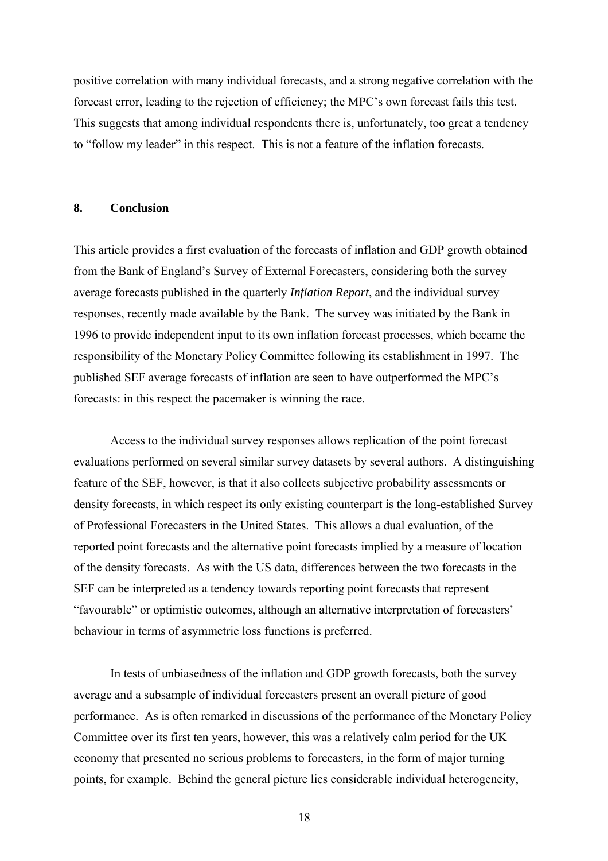positive correlation with many individual forecasts, and a strong negative correlation with the forecast error, leading to the rejection of efficiency; the MPC's own forecast fails this test. This suggests that among individual respondents there is, unfortunately, too great a tendency to "follow my leader" in this respect. This is not a feature of the inflation forecasts.

### **8. Conclusion**

This article provides a first evaluation of the forecasts of inflation and GDP growth obtained from the Bank of England's Survey of External Forecasters, considering both the survey average forecasts published in the quarterly *Inflation Report*, and the individual survey responses, recently made available by the Bank. The survey was initiated by the Bank in 1996 to provide independent input to its own inflation forecast processes, which became the responsibility of the Monetary Policy Committee following its establishment in 1997. The published SEF average forecasts of inflation are seen to have outperformed the MPC's forecasts: in this respect the pacemaker is winning the race.

Access to the individual survey responses allows replication of the point forecast evaluations performed on several similar survey datasets by several authors. A distinguishing feature of the SEF, however, is that it also collects subjective probability assessments or density forecasts, in which respect its only existing counterpart is the long-established Survey of Professional Forecasters in the United States. This allows a dual evaluation, of the reported point forecasts and the alternative point forecasts implied by a measure of location of the density forecasts. As with the US data, differences between the two forecasts in the SEF can be interpreted as a tendency towards reporting point forecasts that represent "favourable" or optimistic outcomes, although an alternative interpretation of forecasters' behaviour in terms of asymmetric loss functions is preferred.

 In tests of unbiasedness of the inflation and GDP growth forecasts, both the survey average and a subsample of individual forecasters present an overall picture of good performance. As is often remarked in discussions of the performance of the Monetary Policy Committee over its first ten years, however, this was a relatively calm period for the UK economy that presented no serious problems to forecasters, in the form of major turning points, for example. Behind the general picture lies considerable individual heterogeneity,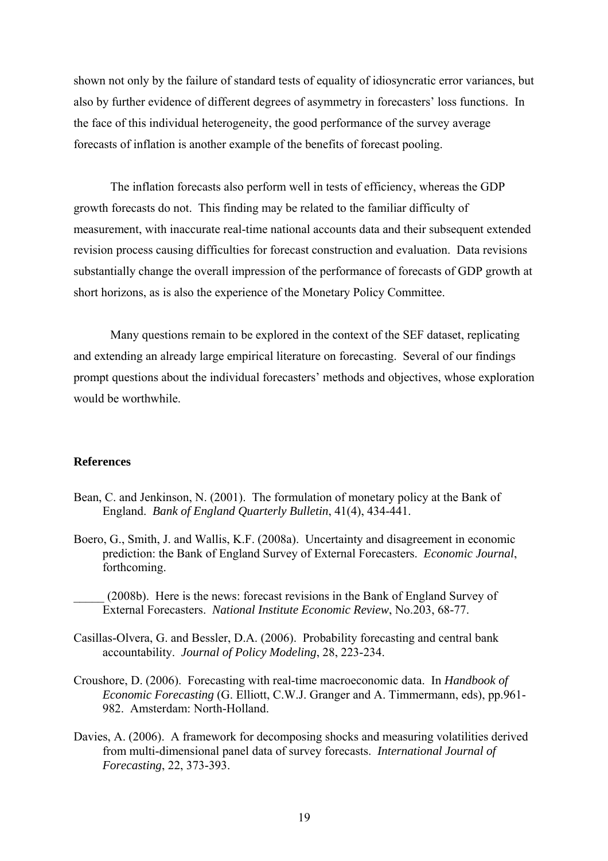shown not only by the failure of standard tests of equality of idiosyncratic error variances, but also by further evidence of different degrees of asymmetry in forecasters' loss functions. In the face of this individual heterogeneity, the good performance of the survey average forecasts of inflation is another example of the benefits of forecast pooling.

The inflation forecasts also perform well in tests of efficiency, whereas the GDP growth forecasts do not. This finding may be related to the familiar difficulty of measurement, with inaccurate real-time national accounts data and their subsequent extended revision process causing difficulties for forecast construction and evaluation. Data revisions substantially change the overall impression of the performance of forecasts of GDP growth at short horizons, as is also the experience of the Monetary Policy Committee.

 Many questions remain to be explored in the context of the SEF dataset, replicating and extending an already large empirical literature on forecasting. Several of our findings prompt questions about the individual forecasters' methods and objectives, whose exploration would be worthwhile.

#### **References**

- Bean, C. and Jenkinson, N. (2001). The formulation of monetary policy at the Bank of England. *Bank of England Quarterly Bulletin*, 41(4), 434-441.
- Boero, G., Smith, J. and Wallis, K.F. (2008a). Uncertainty and disagreement in economic prediction: the Bank of England Survey of External Forecasters. *Economic Journal*, forthcoming.
	- \_\_\_\_\_ (2008b). Here is the news: forecast revisions in the Bank of England Survey of External Forecasters. *National Institute Economic Review*, No.203, 68-77.
- Casillas-Olvera, G. and Bessler, D.A. (2006). Probability forecasting and central bank accountability. *Journal of Policy Modeling*, 28, 223-234.
- Croushore, D. (2006). Forecasting with real-time macroeconomic data. In *Handbook of Economic Forecasting* (G. Elliott, C.W.J. Granger and A. Timmermann, eds), pp.961- 982. Amsterdam: North-Holland.
- Davies, A. (2006). A framework for decomposing shocks and measuring volatilities derived from multi-dimensional panel data of survey forecasts. *International Journal of Forecasting*, 22, 373-393.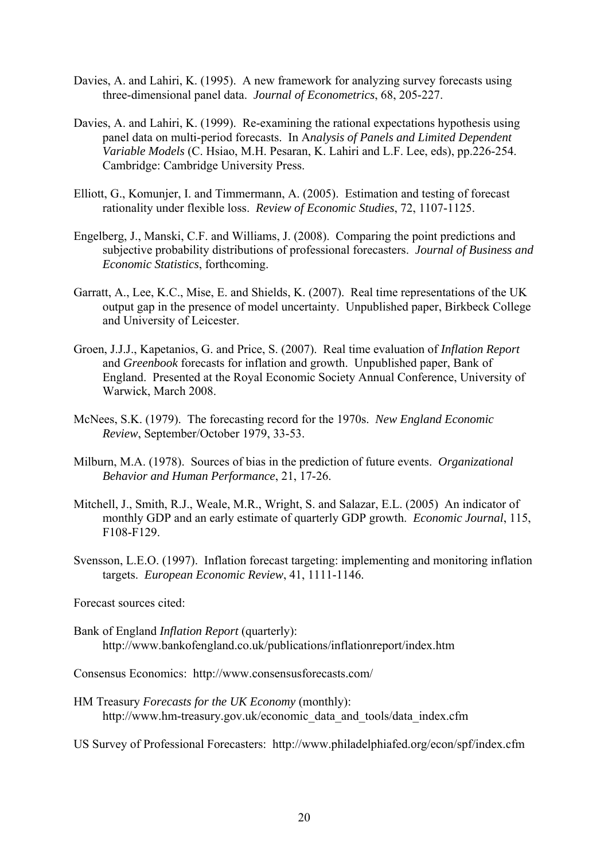- Davies, A. and Lahiri, K. (1995). A new framework for analyzing survey forecasts using three-dimensional panel data. *Journal of Econometrics*, 68, 205-227.
- Davies, A. and Lahiri, K. (1999). Re-examining the rational expectations hypothesis using panel data on multi-period forecasts. In A*nalysis of Panels and Limited Dependent Variable Models* (C. Hsiao, M.H. Pesaran, K. Lahiri and L.F. Lee, eds), pp.226-254. Cambridge: Cambridge University Press.
- Elliott, G., Komunjer, I. and Timmermann, A. (2005). Estimation and testing of forecast rationality under flexible loss. *Review of Economic Studies*, 72, 1107-1125.
- Engelberg, J., Manski, C.F. and Williams, J. (2008). Comparing the point predictions and subjective probability distributions of professional forecasters. *Journal of Business and Economic Statistics*, forthcoming.
- Garratt, A., Lee, K.C., Mise, E. and Shields, K. (2007). Real time representations of the UK output gap in the presence of model uncertainty. Unpublished paper, Birkbeck College and University of Leicester.
- Groen, J.J.J., Kapetanios, G. and Price, S. (2007). Real time evaluation of *Inflation Report* and *Greenbook* forecasts for inflation and growth. Unpublished paper, Bank of England. Presented at the Royal Economic Society Annual Conference, University of Warwick, March 2008.
- McNees, S.K. (1979). The forecasting record for the 1970s. *New England Economic Review*, September/October 1979, 33-53.
- Milburn, M.A. (1978). Sources of bias in the prediction of future events. *Organizational Behavior and Human Performance*, 21, 17-26.
- Mitchell, J., Smith, R.J., Weale, M.R., Wright, S. and Salazar, E.L. (2005) An indicator of monthly GDP and an early estimate of quarterly GDP growth. *Economic Journal*, 115, F108-F129.
- Svensson, L.E.O. (1997). Inflation forecast targeting: implementing and monitoring inflation targets. *European Economic Review*, 41, 1111-1146.

Forecast sources cited:

Bank of England *Inflation Report* (quarterly): http://www.bankofengland.co.uk/publications/inflationreport/index.htm

Consensus Economics: http://www.consensusforecasts.com/

HM Treasury *Forecasts for the UK Economy* (monthly): http://www.hm-treasury.gov.uk/economic\_data\_and\_tools/data\_index.cfm

US Survey of Professional Forecasters: http://www.philadelphiafed.org/econ/spf/index.cfm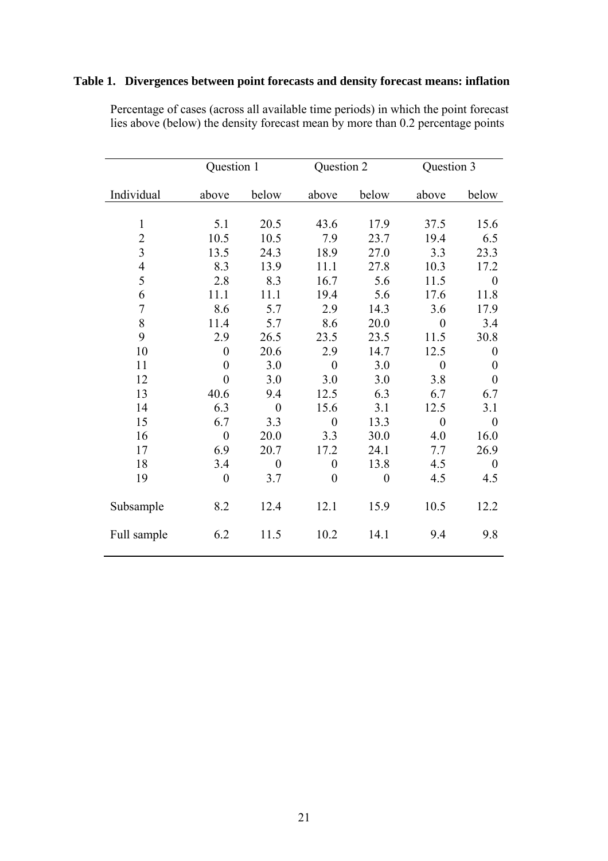# **Table 1. Divergences between point forecasts and density forecast means: inflation**

|                | Question 1       |                | Question 2       |                | Question 3       |                  |
|----------------|------------------|----------------|------------------|----------------|------------------|------------------|
| Individual     | above            | below          | above            | below          | above            | below            |
|                |                  |                |                  |                |                  |                  |
| $\mathbf{1}$   | 5.1              | 20.5           | 43.6             | 17.9           | 37.5             | 15.6             |
| $\overline{2}$ | 10.5             | 10.5           | 7.9              | 23.7           | 19.4             | 6.5              |
| $\overline{3}$ | 13.5             | 24.3           | 18.9             | 27.0           | 3.3              | 23.3             |
| $\overline{4}$ | 8.3              | 13.9           | 11.1             | 27.8           | 10.3             | 17.2             |
| 5              | 2.8              | 8.3            | 16.7             | 5.6            | 11.5             | $\boldsymbol{0}$ |
| 6              | 11.1             | 11.1           | 19.4             | 5.6            | 17.6             | 11.8             |
| $\overline{7}$ | 8.6              | 5.7            | 2.9              | 14.3           | 3.6              | 17.9             |
| 8              | 11.4             | 5.7            | 8.6              | 20.0           | $\boldsymbol{0}$ | 3.4              |
| 9              | 2.9              | 26.5           | 23.5             | 23.5           | 11.5             | 30.8             |
| 10             | $\boldsymbol{0}$ | 20.6           | 2.9              | 14.7           | 12.5             | $\theta$         |
| 11             | $\overline{0}$   | 3.0            | $\overline{0}$   | 3.0            | $\boldsymbol{0}$ | $\boldsymbol{0}$ |
| 12             | $\overline{0}$   | 3.0            | 3.0              | 3.0            | 3.8              | $\overline{0}$   |
| 13             | 40.6             | 9.4            | 12.5             | 6.3            | 6.7              | 6.7              |
| 14             | 6.3              | $\overline{0}$ | 15.6             | 3.1            | 12.5             | 3.1              |
| 15             | 6.7              | 3.3            | $\overline{0}$   | 13.3           | $\boldsymbol{0}$ | $\overline{0}$   |
| 16             | $\boldsymbol{0}$ | 20.0           | 3.3              | 30.0           | 4.0              | 16.0             |
| 17             | 6.9              | 20.7           | 17.2             | 24.1           | 7.7              | 26.9             |
| 18             | 3.4              | $\overline{0}$ | $\boldsymbol{0}$ | 13.8           | 4.5              | $\theta$         |
| 19             | $\boldsymbol{0}$ | 3.7            | $\overline{0}$   | $\overline{0}$ | 4.5              | 4.5              |
| Subsample      | 8.2              | 12.4           | 12.1             | 15.9           | 10.5             | 12.2             |
| Full sample    | 6.2              | 11.5           | 10.2             | 14.1           | 9.4              | 9.8              |

 Percentage of cases (across all available time periods) in which the point forecast lies above (below) the density forecast mean by more than 0.2 percentage points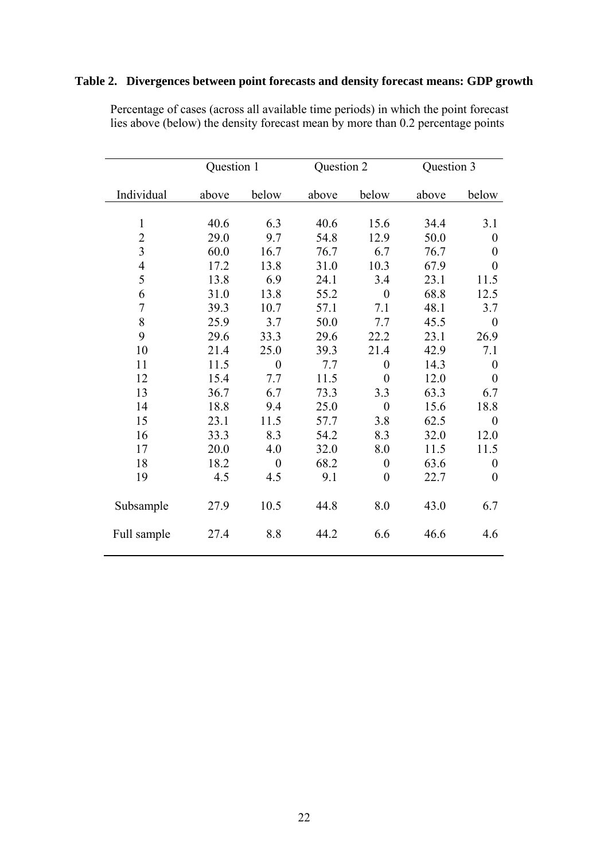# **Table 2. Divergences between point forecasts and density forecast means: GDP growth**

|                | Question 1 |                  | Question 2 |                  | Question 3 |                  |
|----------------|------------|------------------|------------|------------------|------------|------------------|
| Individual     | above      | below            | above      | below            | above      | below            |
|                |            |                  |            |                  |            |                  |
| $\mathbf{1}$   | 40.6       | 6.3              | 40.6       | 15.6             | 34.4       | 3.1              |
| $\overline{2}$ | 29.0       | 9.7              | 54.8       | 12.9             | 50.0       | $\boldsymbol{0}$ |
| $\overline{3}$ | 60.0       | 16.7             | 76.7       | 6.7              | 76.7       | $\theta$         |
| $\overline{4}$ | 17.2       | 13.8             | 31.0       | 10.3             | 67.9       | $\theta$         |
| 5              | 13.8       | 6.9              | 24.1       | 3.4              | 23.1       | 11.5             |
| 6              | 31.0       | 13.8             | 55.2       | $\overline{0}$   | 68.8       | 12.5             |
| 7              | 39.3       | 10.7             | 57.1       | 7.1              | 48.1       | 3.7              |
| 8              | 25.9       | 3.7              | 50.0       | 7.7              | 45.5       | $\boldsymbol{0}$ |
| 9              | 29.6       | 33.3             | 29.6       | 22.2             | 23.1       | 26.9             |
| 10             | 21.4       | 25.0             | 39.3       | 21.4             | 42.9       | 7.1              |
| 11             | 11.5       | $\boldsymbol{0}$ | 7.7        | $\overline{0}$   | 14.3       | $\boldsymbol{0}$ |
| 12             | 15.4       | 7.7              | 11.5       | $\overline{0}$   | 12.0       | $\overline{0}$   |
| 13             | 36.7       | 6.7              | 73.3       | 3.3              | 63.3       | 6.7              |
| 14             | 18.8       | 9.4              | 25.0       | $\boldsymbol{0}$ | 15.6       | 18.8             |
| 15             | 23.1       | 11.5             | 57.7       | 3.8              | 62.5       | $\boldsymbol{0}$ |
| 16             | 33.3       | 8.3              | 54.2       | 8.3              | 32.0       | 12.0             |
| 17             | 20.0       | 4.0              | 32.0       | 8.0              | 11.5       | 11.5             |
| 18             | 18.2       | $\overline{0}$   | 68.2       | $\boldsymbol{0}$ | 63.6       | $\boldsymbol{0}$ |
| 19             | 4.5        | 4.5              | 9.1        | $\overline{0}$   | 22.7       | $\overline{0}$   |
| Subsample      | 27.9       | 10.5             | 44.8       | 8.0              | 43.0       | 6.7              |
| Full sample    | 27.4       | 8.8              | 44.2       | 6.6              | 46.6       | 4.6              |

 Percentage of cases (across all available time periods) in which the point forecast lies above (below) the density forecast mean by more than 0.2 percentage points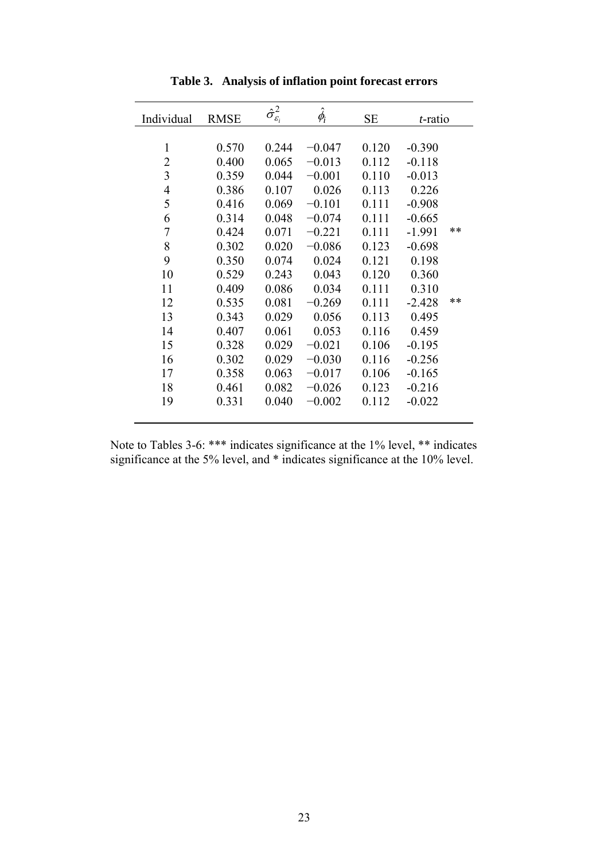| Individual     | <b>RMSE</b> | $\hat{\sigma}_{\varepsilon_{i}}^{2}$ | $\hat{\phi}_i$ | <b>SE</b> | <i>t</i> -ratio |      |
|----------------|-------------|--------------------------------------|----------------|-----------|-----------------|------|
|                |             |                                      |                |           |                 |      |
| $\mathbf{1}$   | 0.570       | 0.244                                | $-0.047$       | 0.120     | $-0.390$        |      |
| $\overline{2}$ | 0.400       | 0.065                                | $-0.013$       | 0.112     | $-0.118$        |      |
| 3              | 0.359       | 0.044                                | $-0.001$       | 0.110     | $-0.013$        |      |
| $\overline{4}$ | 0.386       | 0.107                                | 0.026          | 0.113     | 0.226           |      |
| 5              | 0.416       | 0.069                                | $-0.101$       | 0.111     | $-0.908$        |      |
| 6              | 0.314       | 0.048                                | $-0.074$       | 0.111     | $-0.665$        |      |
| 7              | 0.424       | 0.071                                | $-0.221$       | 0.111     | $-1.991$        | $**$ |
| 8              | 0.302       | 0.020                                | $-0.086$       | 0.123     | $-0.698$        |      |
| 9              | 0.350       | 0.074                                | 0.024          | 0.121     | 0.198           |      |
| 10             | 0.529       | 0.243                                | 0.043          | 0.120     | 0.360           |      |
| 11             | 0.409       | 0.086                                | 0.034          | 0.111     | 0.310           |      |
| 12             | 0.535       | 0.081                                | $-0.269$       | 0.111     | $-2.428$        | $**$ |
| 13             | 0.343       | 0.029                                | 0.056          | 0.113     | 0.495           |      |
| 14             | 0.407       | 0.061                                | 0.053          | 0.116     | 0.459           |      |
| 15             | 0.328       | 0.029                                | $-0.021$       | 0.106     | $-0.195$        |      |
| 16             | 0.302       | 0.029                                | $-0.030$       | 0.116     | $-0.256$        |      |
| 17             | 0.358       | 0.063                                | $-0.017$       | 0.106     | $-0.165$        |      |
| 18             | 0.461       | 0.082                                | $-0.026$       | 0.123     | $-0.216$        |      |
| 19             | 0.331       | 0.040                                | $-0.002$       | 0.112     | $-0.022$        |      |
|                |             |                                      |                |           |                 |      |

**Table 3. Analysis of inflation point forecast errors** 

Note to Tables 3-6: \*\*\* indicates significance at the 1% level, \*\* indicates significance at the 5% level, and \* indicates significance at the 10% level.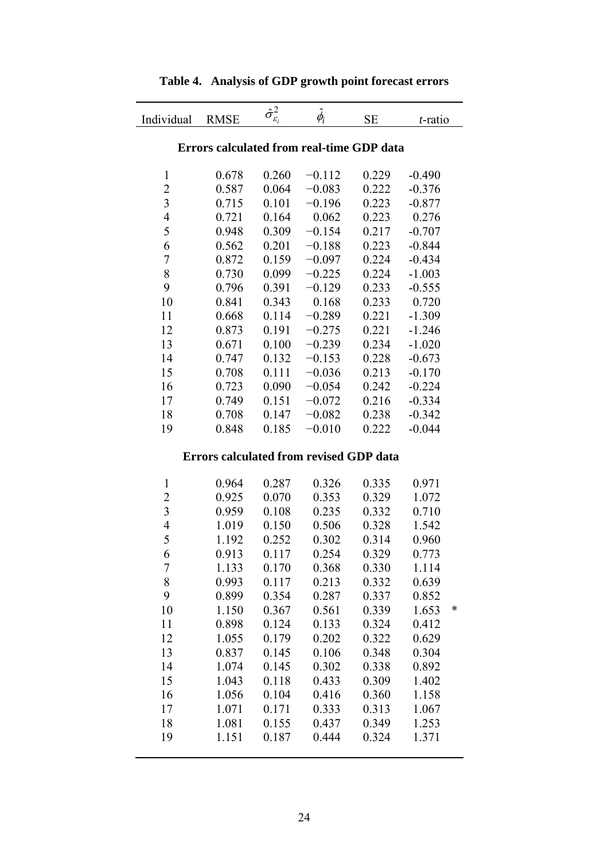| Individual     | <b>RMSE</b>                                    | $\hat{\sigma}_{\varepsilon_{i}}^{2}$ | $\hat{\phi_{i}}$ | <b>SE</b> | <i>t</i> -ratio |
|----------------|------------------------------------------------|--------------------------------------|------------------|-----------|-----------------|
|                | Errors calculated from real-time GDP data      |                                      |                  |           |                 |
|                |                                                |                                      |                  |           |                 |
| $\mathbf{1}$   | 0.678                                          | 0.260                                | $-0.112$         | 0.229     | $-0.490$        |
| $\overline{c}$ | 0.587                                          | 0.064                                | $-0.083$         | 0.222     | $-0.376$        |
| 3              | 0.715                                          | 0.101                                | $-0.196$         | 0.223     | $-0.877$        |
| $\overline{4}$ | 0.721                                          | 0.164                                | 0.062            | 0.223     | 0.276           |
| 5              | 0.948                                          | 0.309                                | $-0.154$         | 0.217     | $-0.707$        |
| 6              | 0.562                                          | 0.201                                | $-0.188$         | 0.223     | $-0.844$        |
| $\overline{7}$ | 0.872                                          | 0.159                                | $-0.097$         | 0.224     | $-0.434$        |
| 8              | 0.730                                          | 0.099                                | $-0.225$         | 0.224     | $-1.003$        |
| 9              | 0.796                                          | 0.391                                | $-0.129$         | 0.233     | $-0.555$        |
| 10             | 0.841                                          | 0.343                                | 0.168            | 0.233     | 0.720           |
| 11             | 0.668                                          | 0.114                                | $-0.289$         | 0.221     | $-1.309$        |
| 12             | 0.873                                          | 0.191                                | $-0.275$         | 0.221     | $-1.246$        |
| 13             | 0.671                                          | 0.100                                | $-0.239$         | 0.234     | $-1.020$        |
| 14             | 0.747                                          | 0.132                                | $-0.153$         | 0.228     | $-0.673$        |
| 15             | 0.708                                          | 0.111                                | $-0.036$         | 0.213     | $-0.170$        |
| 16             | 0.723                                          | 0.090                                | $-0.054$         | 0.242     | $-0.224$        |
| 17             | 0.749                                          | 0.151                                | $-0.072$         | 0.216     | $-0.334$        |
| 18             | 0.708                                          | 0.147                                | $-0.082$         | 0.238     | $-0.342$        |
| 19             | 0.848                                          | 0.185                                | $-0.010$         | 0.222     | $-0.044$        |
|                | <b>Errors calculated from revised GDP data</b> |                                      |                  |           |                 |
| $\mathbf{1}$   | 0.964                                          | 0.287                                | 0.326            | 0.335     | 0.971           |
| $\overline{c}$ | 0.925                                          | 0.070                                | 0.353            | 0.329     | 1.072           |
| 3              | 0.959                                          | 0.108                                | 0.235            | 0.332     | 0.710           |
| $\overline{4}$ | 1.019                                          | 0.150                                | 0.506            | 0.328     | 1.542           |
| 5              | 1.192                                          | 0.252                                | 0.302            | 0.314     | 0.960           |
| 6              | 0.913                                          | 0.117                                | 0.254            | 0.329     | 0.773           |
| $\overline{7}$ | 1.133                                          | 0.170                                | 0.368            | 0.330     | 1.114           |
| 8              | 0.993                                          | 0.117                                | 0.213            | 0.332     | 0.639           |
| 9              | 0.899                                          | 0.354                                | 0.287            | 0.337     | 0.852           |
| 10             | 1.150                                          | 0.367                                | 0.561            | 0.339     | 1.653<br>*      |
| 11             | 0.898                                          | 0.124                                | 0.133            | 0.324     | 0.412           |
| 12             | 1.055                                          | 0.179                                | 0.202            | 0.322     | 0.629           |
| 13             | 0.837                                          | 0.145                                | 0.106            | 0.348     | 0.304           |
| 14             | 1.074                                          | 0.145                                | 0.302            | 0.338     | 0.892           |
| 15             | 1.043                                          | 0.118                                | 0.433            | 0.309     | 1.402           |
| 16             | 1.056                                          | 0.104                                | 0.416            | 0.360     | 1.158           |
| 17             | 1.071                                          | 0.171                                | 0.333            | 0.313     | 1.067           |
| 18             | 1.081                                          | 0.155                                | 0.437            | 0.349     | 1.253           |
| 19             | 1.151                                          | 0.187                                | 0.444            | 0.324     | 1.371           |
|                |                                                |                                      |                  |           |                 |

**Table 4. Analysis of GDP growth point forecast errors**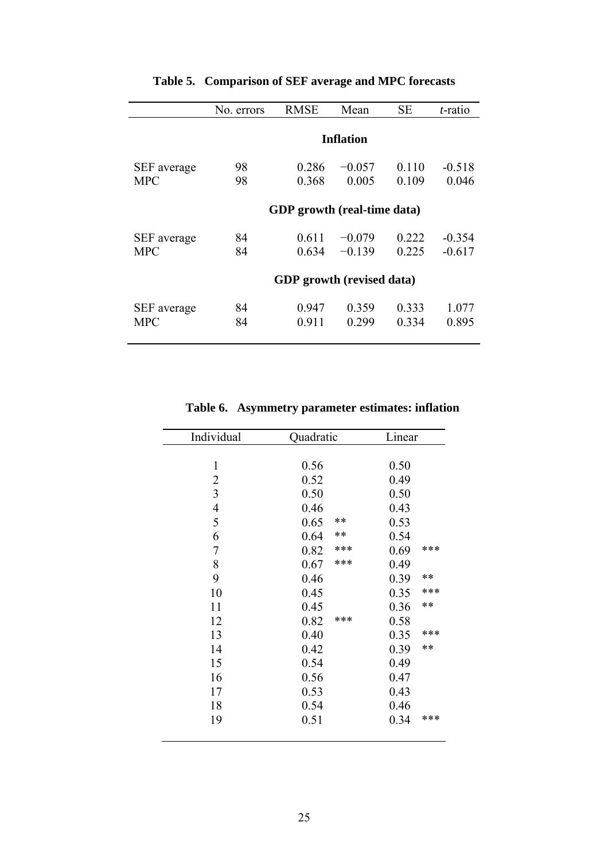|             | No. errors | <b>RMSE</b>                 | Mean             | <b>SE</b> | <i>t</i> -ratio |
|-------------|------------|-----------------------------|------------------|-----------|-----------------|
|             |            |                             |                  |           |                 |
|             |            |                             | <b>Inflation</b> |           |                 |
| SEF average | 98         | 0 2 8 6                     | $-0.057$         | 0.110     | $-0.518$        |
| <b>MPC</b>  | 98         | 0.368                       | 0.005            | 0.109     | 0.046           |
|             |            |                             |                  |           |                 |
|             |            | GDP growth (real-time data) |                  |           |                 |
| SEF average | 84         | 0.611                       | $-0.079$         | 0 2 2 2   | $-0.354$        |
| <b>MPC</b>  | 84         | 0.634                       | $-0.139$         | 0.225     | $-0.617$        |
|             |            |                             |                  |           |                 |
|             |            | GDP growth (revised data)   |                  |           |                 |
|             |            |                             |                  |           |                 |
| SEF average | 84         | 0.947                       | 0.359            | 0.333     | 1.077           |
| <b>MPC</b>  | 84         | 0.911                       | 0.299            | 0.334     | 0.895           |
|             |            |                             |                  |           |                 |

# **Table 5. Comparison of SEF average and MPC forecasts**

# **Table 6. Asymmetry parameter estimates: inflation**

| Individual     | Quadratic     | Linear        |
|----------------|---------------|---------------|
|                |               |               |
| $\mathbf{1}$   | 0.56          | 0.50          |
| $\overline{2}$ | 0.52          | 0.49          |
| $\overline{3}$ | 0.50          | 0.50          |
| $\overline{4}$ | 0.46          | 0.43          |
| 5              | **<br>0.65    | 0.53          |
| 6              | $***$<br>0.64 | 0.54          |
| $\overline{7}$ | ***<br>0.82   | ***<br>0.69   |
| 8              | ***<br>0.67   | 0.49          |
| 9              | 0.46          | $***$<br>0.39 |
| 10             | 0.45          | ***<br>0.35   |
| 11             | 0.45          | $**$<br>0.36  |
| 12             | ***<br>0.82   | 0.58          |
| 13             | 0.40          | ***<br>0.35   |
| 14             | 0.42          | $**$<br>0.39  |
| 15             | 0.54          | 0.49          |
| 16             | 0.56          | 0.47          |
| 17             | 0.53          | 0.43          |
| 18             | 0.54          | 0.46          |
| 19             | 0.51          | ***<br>0.34   |
|                |               |               |